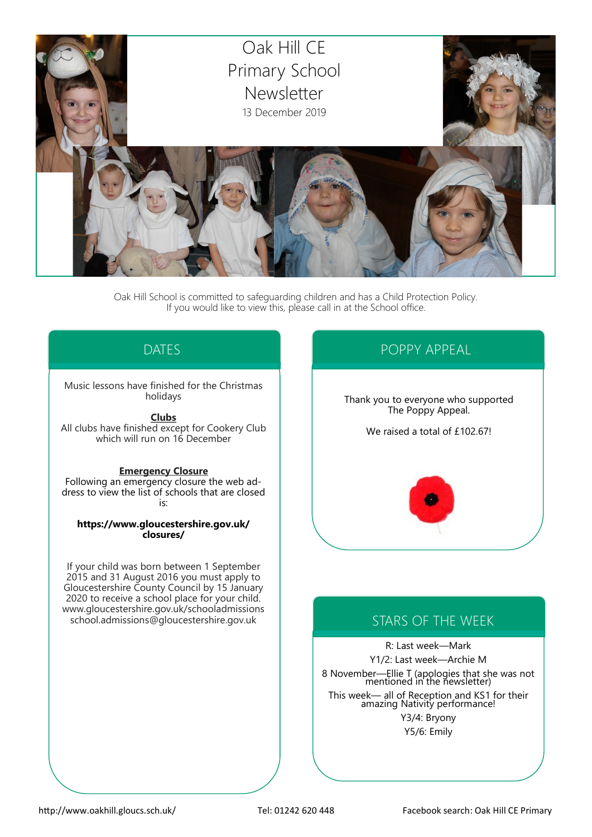

Oak Hill School is committed to safeguarding children and has a Child Protection Policy. If you would like to view this, please call in at the School office.

# DATES

#### Music lessons have finished for the Christmas holidays

**Clubs**

All clubs have finished except for Cookery Club which will run on 16 December

#### **Emergency Closure**

Following an emergency closure the web address to view the list of schools that are closed is:

**https://www.gloucestershire.gov.uk/ closures/**

If your child was born between 1 September 2015 and 31 August 2016 you must apply to Gloucestershire County Council by 15 January 2020 to receive a school place for your child. www.gloucestershire.gov.uk/schooladmissions school.admissions@gloucestershire.gov.uk

# POPPY APPEAL

Thank you to everyone who supported The Poppy Appeal.

We raised a total of £102.67!



# STARS OF THE WEEK

R: Last week—Mark Y1/2: Last week—Archie M 8 November—Ellie T (apologies that she was not mentioned in the newsletter) This week— all of Reception and KS1 for their amazing Nativity performance! Y3/4: Bryony Y5/6: Emily